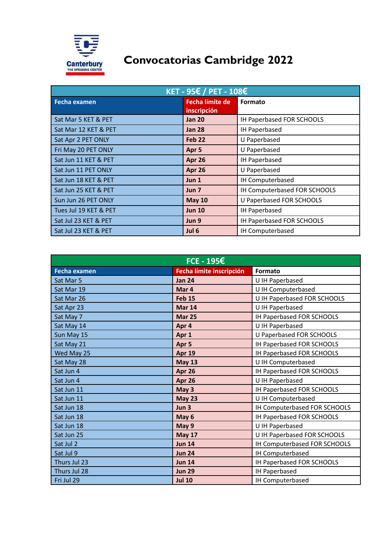

## **Convocatorias Cambridge 2022**

| $KET - 95€ / PET - 108€$ |                                       |                              |  |  |
|--------------------------|---------------------------------------|------------------------------|--|--|
| Fecha examen             | <b>Fecha límite de</b><br>inscripción | Formato                      |  |  |
| Sat Mar 5 KET & PET      | <b>Jan 20</b>                         | IH Paperbased FOR SCHOOLS    |  |  |
| Sat Mar 12 KET & PET     | <b>Jan 28</b>                         | <b>IH Paperbased</b>         |  |  |
| Sat Apr 2 PET ONLY       | <b>Feb 22</b>                         | U Paperbased                 |  |  |
| Fri May 20 PET ONLY      | Apr 5                                 | U Paperbased                 |  |  |
| Sat Jun 11 KET & PET     | Apr 26                                | IH Paperbased                |  |  |
| Sat Jun 11 PET ONLY      | Apr 26                                | U Paperbased                 |  |  |
| Sat Jun 18 KET & PET     | Jun <sub>1</sub>                      | IH Computerbased             |  |  |
| Sat Jun 25 KET & PET     | Jun <sub>7</sub>                      | IH Computerbased FOR SCHOOLS |  |  |
| Sun Jun 26 PET ONLY      | <b>May 10</b>                         | U Paperbased FOR SCHOOLS     |  |  |
| Tues Jul 19 KET & PET    | <b>Jun 10</b>                         | IH Paperbased                |  |  |
| Sat Jul 23 KET & PET     | Jun 9                                 | IH Paperbased FOR SCHOOLS    |  |  |
| Sat Jul 23 KET & PET     | Jul 6                                 | IH Computerbased             |  |  |

| $FCE - 195E$        |                          |                                 |  |  |
|---------------------|--------------------------|---------------------------------|--|--|
| <b>Fecha examen</b> | Fecha límite inscripción | <b>Formato</b>                  |  |  |
| Sat Mar 5           | <b>Jan 24</b>            | U IH Paperbased                 |  |  |
| Sat Mar 19          | Mar 4                    | U IH Computerbased              |  |  |
| Sat Mar 26          | <b>Feb 15</b>            | U IH Paperbased FOR SCHOOLS     |  |  |
| Sat Apr 23          | <b>Mar 14</b>            | U IH Paperbased                 |  |  |
| Sat May 7           | <b>Mar 25</b>            | IH Paperbased FOR SCHOOLS       |  |  |
| Sat May 14          | Apr 4                    | U IH Paperbased                 |  |  |
| Sun May 15          | Apr 1                    | <b>U Paperbased FOR SCHOOLS</b> |  |  |
| Sat May 21          | Apr 5                    | IH Paperbased FOR SCHOOLS       |  |  |
| Wed May 25          | <b>Apr 19</b>            | IH Paperbased FOR SCHOOLS       |  |  |
| Sat May 28          | <b>May 13</b>            | U IH Computerbased              |  |  |
| Sat Jun 4           | Apr 26                   | IH Paperbased FOR SCHOOLS       |  |  |
| Sat Jun 4           | Apr 26                   | U IH Paperbased                 |  |  |
| Sat Jun 11          | May 3                    | IH Paperbased FOR SCHOOLS       |  |  |
| Sat Jun 11          | <b>May 23</b>            | U IH Computerbased              |  |  |
| Sat Jun 18          | Jun <sub>3</sub>         | IH Computerbased FOR SCHOOLS    |  |  |
| Sat Jun 18          | May 6                    | IH Paperbased FOR SCHOOLS       |  |  |
| Sat Jun 18          | May 9                    | U IH Paperbased                 |  |  |
| Sat Jun 25          | <b>May 17</b>            | U IH Paperbased FOR SCHOOLS     |  |  |
| Sat Jul 2           | <b>Jun 14</b>            | IH Computerbased FOR SCHOOLS    |  |  |
| Sat Jul 9           | <b>Jun 24</b>            | IH Computerbased                |  |  |
| Thurs Jul 23        | <b>Jun 14</b>            | IH Paperbased FOR SCHOOLS       |  |  |
| Thurs Jul 28        | <b>Jun 29</b>            | IH Paperbased                   |  |  |
| Fri Jul 29          | <b>Jul 10</b>            | IH Computerbased                |  |  |